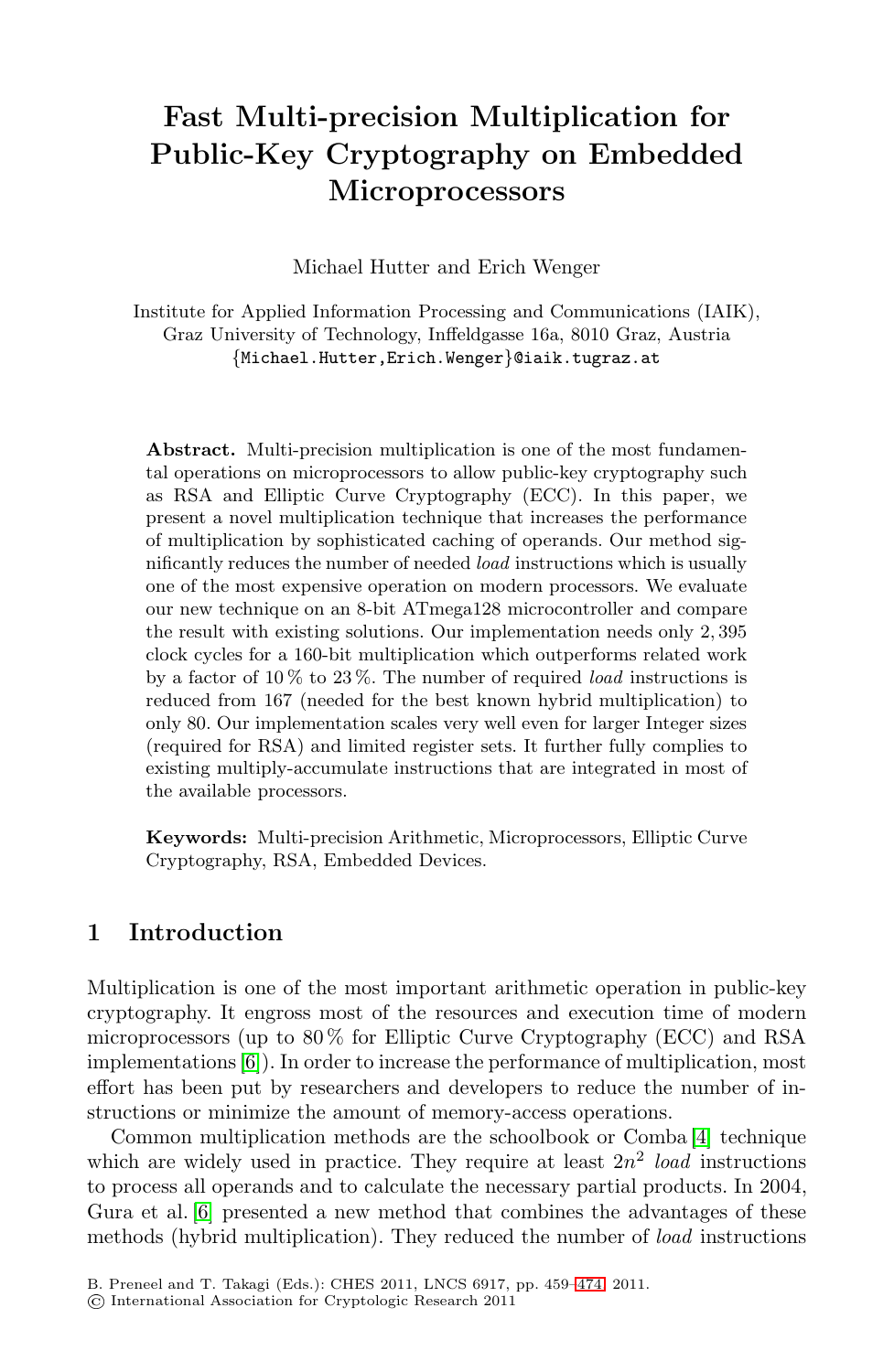# **Fast Multi-precision Multiplication for Public-Key Cryptography on Embedded Microprocessors**

Michael Hutter and Erich Wenger

Institute for Applied Information Processing and Communications (IAIK), Graz University of Technology, Inffeldgasse 16a, 8010 Graz, Austria {Michael.Hutter,Erich.Wenger}@iaik.tugraz.at

**Abstract.** Multi-precision multiplication is one of the most fundamental operations on microprocessors to allow public-key cryptography such as RSA and Elliptic Curve Cryptography (ECC). In this paper, we present a novel multiplication technique that increases the performance of multiplication by sophisticated caching of operands. Our method significantly reduces the number of needed *load* instructions which is usually one of the most expensive operation on modern processors. We evaluate our new technique on an 8-bit ATmega128 microcontroller and compare the result with existing solutions. Our implementation needs only 2*,* 395 clock cycles for a 160-bit multiplication which outperforms related work by a factor of 10 % to 23 %. The number of required *load* instructions is reduced from 167 (needed for the best known hybrid multiplication) to only 80. Our implementation scales very well even for larger Integer sizes (required for RSA) and limited register sets. It further fully complies to existing multiply-accumulate instructions that are integrated in most of the available processors.

**Keywords:** Multi-precision Arithmetic, Microprocessors, Elliptic Curve Cryptography, RSA, Embedded Devices.

## **1 Introduction**

Multiplication is one of the most important arithmetic operation in public-key cryptography. It engross most of the resources and execution time of modern microprocessors (up to  $80\%$  for Elliptic Curve Cryptography (ECC) and RSA implementations [\[6\]](#page-12-0)). In order to increase the performance of multiplication, most effort has been put by researchers and developers to reduce the number of instructions or minimize the amount of memory-access operations.

Common multiplication methods are the schoolbook or Comba [\[4\]](#page-12-1) technique which are widely used in practice. They require at least  $2n^2$  *load* instructions to process all operands and to calculate the necessary partial products. In 2004, Gura et al. [\[6\]](#page-12-0) presented a new method that combines the advantages of these methods (hybrid multiplication). They reduced the number of *load* instructions

B. Preneel and T. Takagi (Eds.): CHES 2011, LNCS 6917, pp. 459[–474,](#page-15-0) 2011.

International Association for Cryptologic Research 2011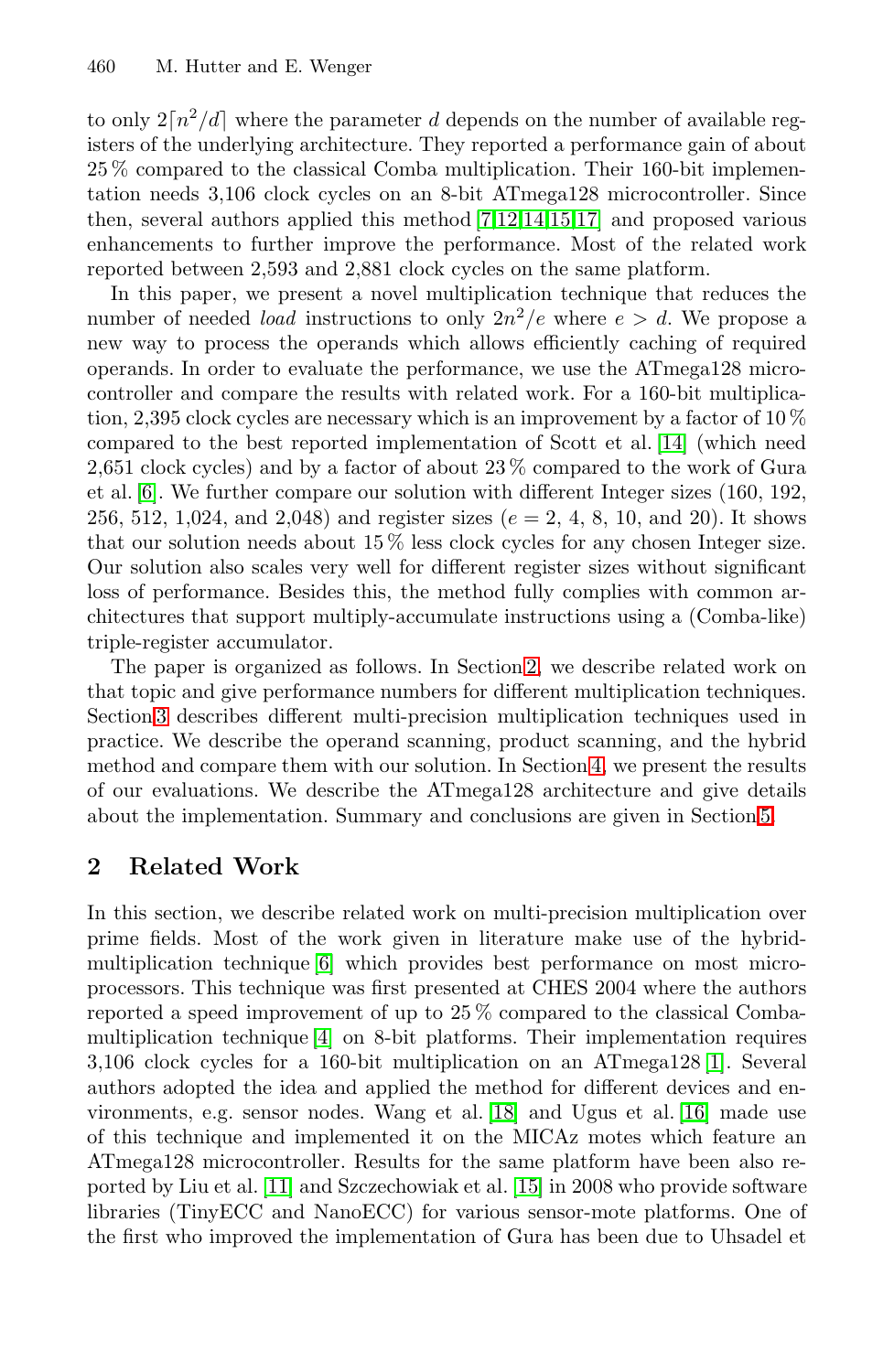to only  $2[n^2/d]$  where the parameter *d* depends on the number of available registers of the underlying architecture. They reported a performance gain of about 25 % compared to the classical Comba multiplication. Their 160-bit implementation needs 3,106 clock cycles on an 8-bit ATmega128 microcontroller. Since then, several authors applied this method [\[7,](#page-12-2)[12](#page-13-0)[,14](#page-13-1)[,15](#page-13-2)[,17\]](#page-13-3) and proposed various enhancements to further improve the performance. Most of the related work reported between 2,593 and 2,881 clock cycles on the same platform.

In this paper, we present a novel multiplication technique that reduces the number of needed *load* instructions to only  $2n^2/e$  where  $e > d$ . We propose a new way to process the operands which allows efficiently caching of required operands. In order to evaluate the performance, we use the ATmega128 microcontroller and compare the results with related work. For a 160-bit multiplication, 2,395 clock cycles are necessary which is an improvement by a factor of  $10\%$ compared to the best reported implementation of Scott et al. [\[14\]](#page-13-1) (which need 2,651 clock cycles) and by a factor of about 23 % compared to the work of Gura et al. [\[6\]](#page-12-0). We further compare our solution with different Integer sizes (160, 192, 256, 512, 1,024, and 2,048) and register sizes (*e* = 2, 4, 8, 10, and 20). It shows that our solution needs about 15 % less clock cycles for any chosen Integer size. Our solution also scales very well for different register sizes without significant loss of performance. Besides this, the method fully complies with common architectures that support multiply-accumulate instructions using a (Comba-like) triple-register accumulator.

The paper is organized as follows. In Section [2,](#page-1-0) we describe related work on that topic and give performance numbers for different multiplication techniques. Section [3](#page-2-0) describes different multi-precision multiplication techniques used in practice. We describe the operand scanning, product scanning, and the hybrid method and compare them with our solution. In Section [4,](#page-8-0) we present the results of our evaluations. We describe the ATmega128 architecture and give details about the implementation. Summary and conclusions are given in Section [5.](#page-11-0)

## <span id="page-1-0"></span>**2 Related Work**

In this section, we describe related work on multi-precision multiplication over prime fields. Most of the work given in literature make use of the hybridmultiplication technique [\[6\]](#page-12-0) which provides best performance on most microprocessors. This technique was first presented at CHES 2004 where the authors reported a speed improvement of up to 25 % compared to the classical Combamultiplication technique [\[4\]](#page-12-1) on 8-bit platforms. Their implementation requires 3,106 clock cycles for a 160-bit multiplication on an ATmega128 [\[1\]](#page-12-3). Several authors adopted the idea and applied the method for different devices and environments, e.g. sensor nodes. Wang et al. [\[18\]](#page-13-4) and Ugus et al. [\[16\]](#page-13-5) made use of this technique and implemented it on the MICAz motes which feature an ATmega128 microcontroller. Results for the same platform have been also reported by Liu et al. [\[11\]](#page-13-6) and Szczechowiak et al. [\[15\]](#page-13-2) in 2008 who provide software libraries (TinyECC and NanoECC) for various sensor-mote platforms. One of the first who improved the implementation of Gura has been due to Uhsadel et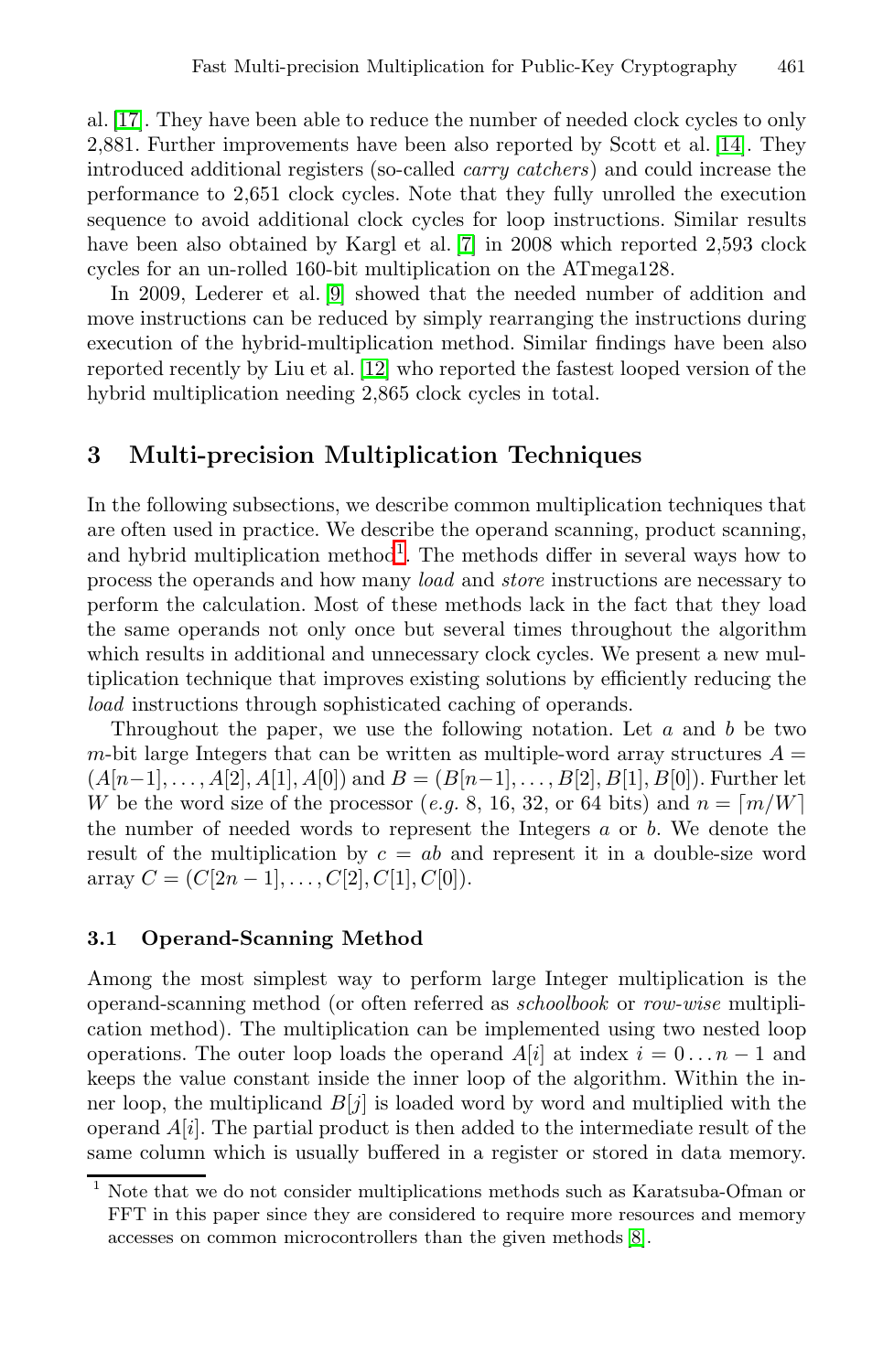al. [\[17\]](#page-13-3). They have been able to reduce the number of needed clock cycles to only 2,881. Further improvements have been also reported by Scott et al. [\[14\]](#page-13-1). They introduced additional registers (so-called *carry catchers*) and could increase the performance to 2,651 clock cycles. Note that they fully unrolled the execution sequence to avoid additional clock cycles for loop instructions. Similar results have been also obtained by Kargl et al. [\[7\]](#page-12-2) in 2008 which reported 2,593 clock cycles for an un-rolled 160-bit multiplication on the ATmega128.

In 2009, Lederer et al. [\[9\]](#page-13-7) showed that the needed number of addition and move instructions can be reduced by simply rearranging the instructions during execution of the hybrid-multiplication method. Similar findings have been also reported recently by Liu et al. [\[12\]](#page-13-0) who reported the fastest looped version of the hybrid multiplication needing 2,865 clock cycles in total.

## <span id="page-2-0"></span>**3 Multi-precision Multiplication Techniques**

In the following subsections, we describe common multiplication techniques that are often used in practice. We describe the operand scanning, product scanning, and hybrid multiplication method<sup>[1](#page-2-1)</sup>. The methods differ in several ways how to process the operands and how many *load* and *store* instructions are necessary to perform the calculation. Most of these methods lack in the fact that they load the same operands not only once but several times throughout the algorithm which results in additional and unnecessary clock cycles. We present a new multiplication technique that improves existing solutions by efficiently reducing the *load* instructions through sophisticated caching of operands.

Throughout the paper, we use the following notation. Let *a* and *b* be two *m*-bit large Integers that can be written as multiple-word array structures  $A =$  $(A[n-1], \ldots, A[2], A[1], A[0])$  and  $B = (B[n-1], \ldots, B[2], B[1], B[0])$ . Further let *W* be the word size of the processor (*e.g.* 8, 16, 32, or 64 bits) and  $n = \lceil m/W \rceil$ the number of needed words to represent the Integers *a* or *b*. We denote the result of the multiplication by *c* = *ab* and represent it in a double-size word  $array C = (C[2n-1], \ldots, C[2], C[1], C[0]).$ 

#### **3.1 Operand-Scanning Method**

Among the most simplest way to perform large Integer multiplication is the operand-scanning method (or often referred as *schoolbook* or *row-wise* multiplication method). The multiplication can be implemented using two nested loop operations. The outer loop loads the operand  $A[i]$  at index  $i = 0 \dots n - 1$  and keeps the value constant inside the inner loop of the algorithm. Within the inner loop, the multiplicand  $B[j]$  is loaded word by word and multiplied with the operand *A*[*i*]. The partial product is then added to the intermediate result of the same column which is usually buffered in a register or stored in data memory.

<span id="page-2-1"></span><sup>1</sup> Note that we do not consider multiplications methods such as Karatsuba-Ofman or FFT in this paper since they are considered to require more resources and memory accesses on common microcontrollers than the given methods [\[8\]](#page-12-4).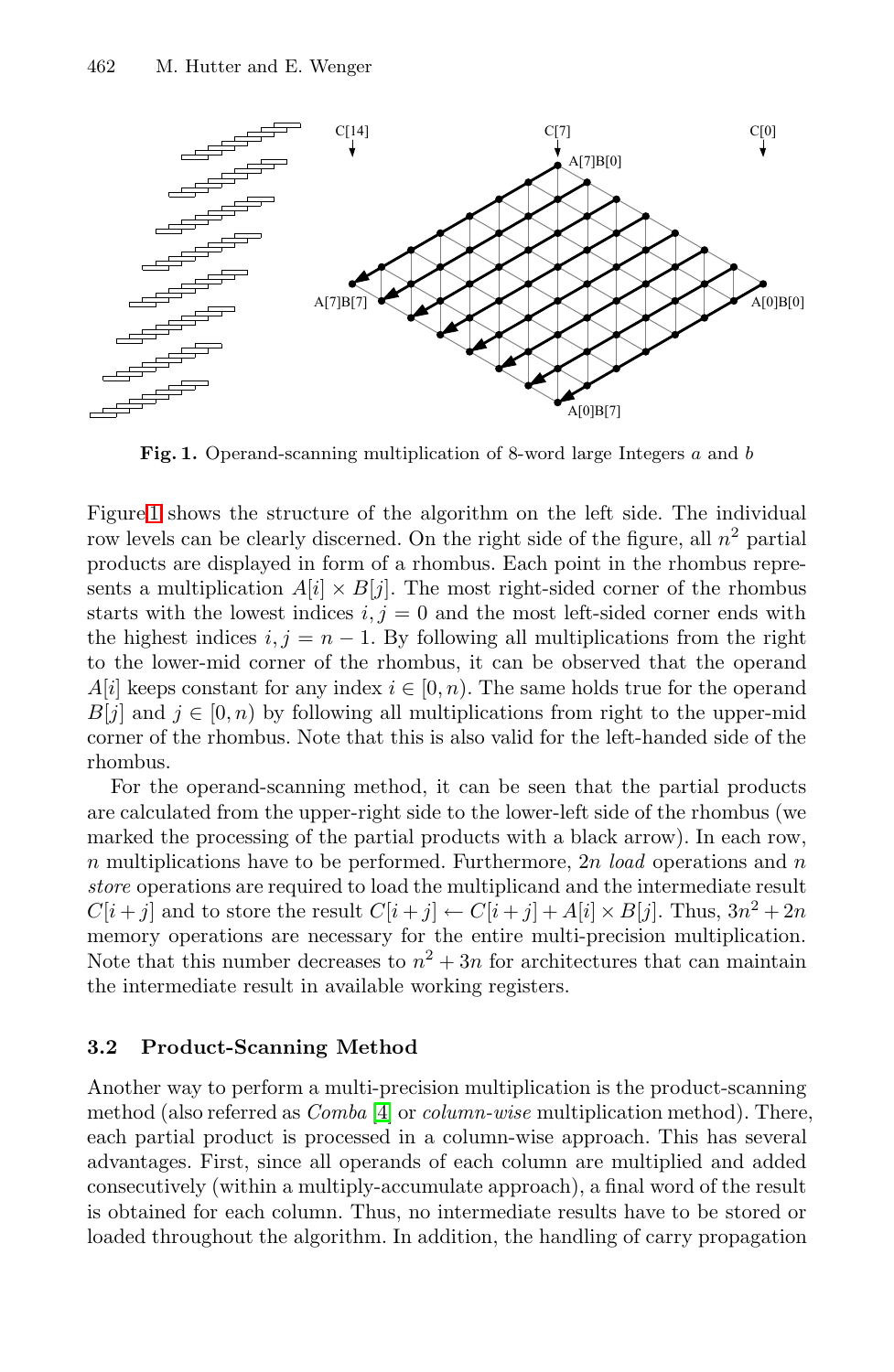<span id="page-3-0"></span>

**Fig. 1.** Operand-scanning multiplication of 8-word large Integers *a* and *b*

Figure [1](#page-3-0) shows the structure of the algorithm on the left side. The individual row levels can be clearly discerned. On the right side of the figure, all  $n^2$  partial products are displayed in form of a rhombus. Each point in the rhombus represents a multiplication  $A[i] \times B[j]$ . The most right-sided corner of the rhombus starts with the lowest indices  $i, j = 0$  and the most left-sided corner ends with the highest indices  $i, j = n - 1$ . By following all multiplications from the right to the lower-mid corner of the rhombus, it can be observed that the operand *A*[*i*] keeps constant for any index  $i \in [0, n)$ . The same holds true for the operand *B*[*j*] and  $j \in [0, n)$  by following all multiplications from right to the upper-mid corner of the rhombus. Note that this is also valid for the left-handed side of the rhombus.

For the operand-scanning method, it can be seen that the partial products are calculated from the upper-right side to the lower-left side of the rhombus (we marked the processing of the partial products with a black arrow). In each row, *n* multiplications have to be performed. Furthermore, 2*n load* operations and *n store* operations are required to load the multiplicand and the intermediate result  $C[i + j]$  and to store the result  $C[i + j] \leftarrow C[i + j] + A[i] \times B[j]$ . Thus,  $3n^2 + 2n$ memory operations are necessary for the entire multi-precision multiplication. Note that this number decreases to  $n^2 + 3n$  for architectures that can maintain the intermediate result in available working registers.

#### **3.2 Product-Scanning Method**

Another way to perform a multi-precision multiplication is the product-scanning method (also referred as *Comba* [\[4\]](#page-12-1) or *column-wise* multiplication method). There, each partial product is processed in a column-wise approach. This has several advantages. First, since all operands of each column are multiplied and added consecutively (within a multiply-accumulate approach), a final word of the result is obtained for each column. Thus, no intermediate results have to be stored or loaded throughout the algorithm. In addition, the handling of carry propagation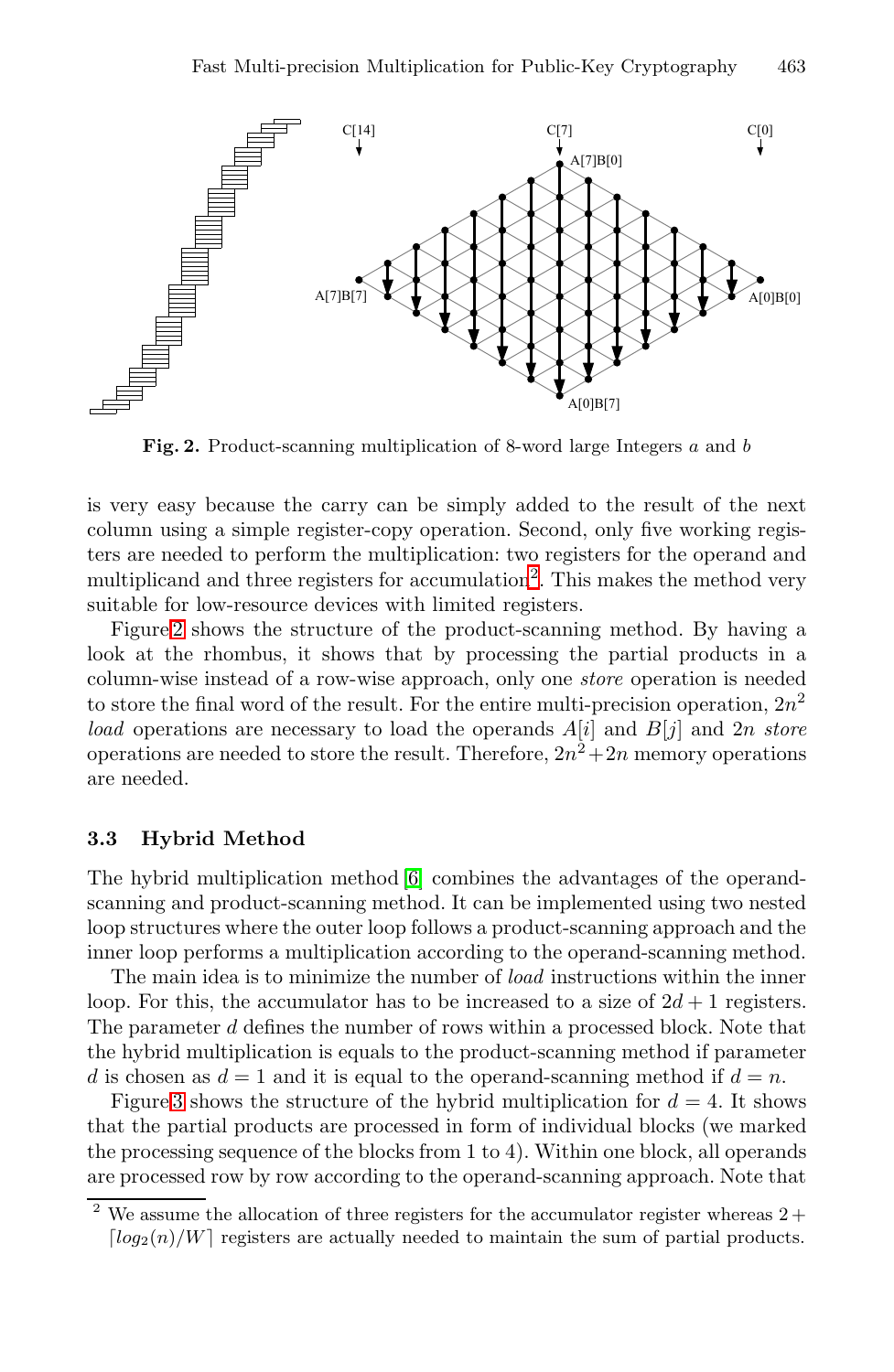<span id="page-4-1"></span>

**Fig. 2.** Product-scanning multiplication of 8-word large Integers *a* and *b*

is very easy because the carry can be simply added to the result of the next column using a simple register-copy operation. Second, only five working registers are needed to perform the multiplication: two registers for the operand and multiplicand and three registers for accumulation<sup>[2](#page-4-0)</sup>. This makes the method very suitable for low-resource devices with limited registers.

Figure [2](#page-4-1) shows the structure of the product-scanning method. By having a look at the rhombus, it shows that by processing the partial products in a column-wise instead of a row-wise approach, only one *store* operation is needed to store the final word of the result. For the entire multi-precision operation,  $2n^2$ *load* operations are necessary to load the operands *A*[*i*] and *B*[*j*] and 2*n store* operations are needed to store the result. Therefore,  $2n^2+2n$  memory operations are needed.

#### **3.3 Hybrid Method**

The hybrid multiplication method [\[6\]](#page-12-0) combines the advantages of the operandscanning and product-scanning method. It can be implemented using two nested loop structures where the outer loop follows a product-scanning approach and the inner loop performs a multiplication according to the operand-scanning method.

The main idea is to minimize the number of *load* instructions within the inner loop. For this, the accumulator has to be increased to a size of  $2d + 1$  registers. The parameter *d* defines the number of rows within a processed block. Note that the hybrid multiplication is equals to the product-scanning method if parameter *d* is chosen as  $d = 1$  and it is equal to the operand-scanning method if  $d = n$ .

Figure [3](#page-5-0) shows the structure of the hybrid multiplication for  $d = 4$ . It shows that the partial products are processed in form of individual blocks (we marked the processing sequence of the blocks from 1 to 4). Within one block, all operands are processed row by row according to the operand-scanning approach. Note that

<span id="page-4-0"></span> $2$  We assume the allocation of three registers for the accumulator register whereas  $2 +$  $\lceil log_2(n)/W \rceil$  registers are actually needed to maintain the sum of partial products.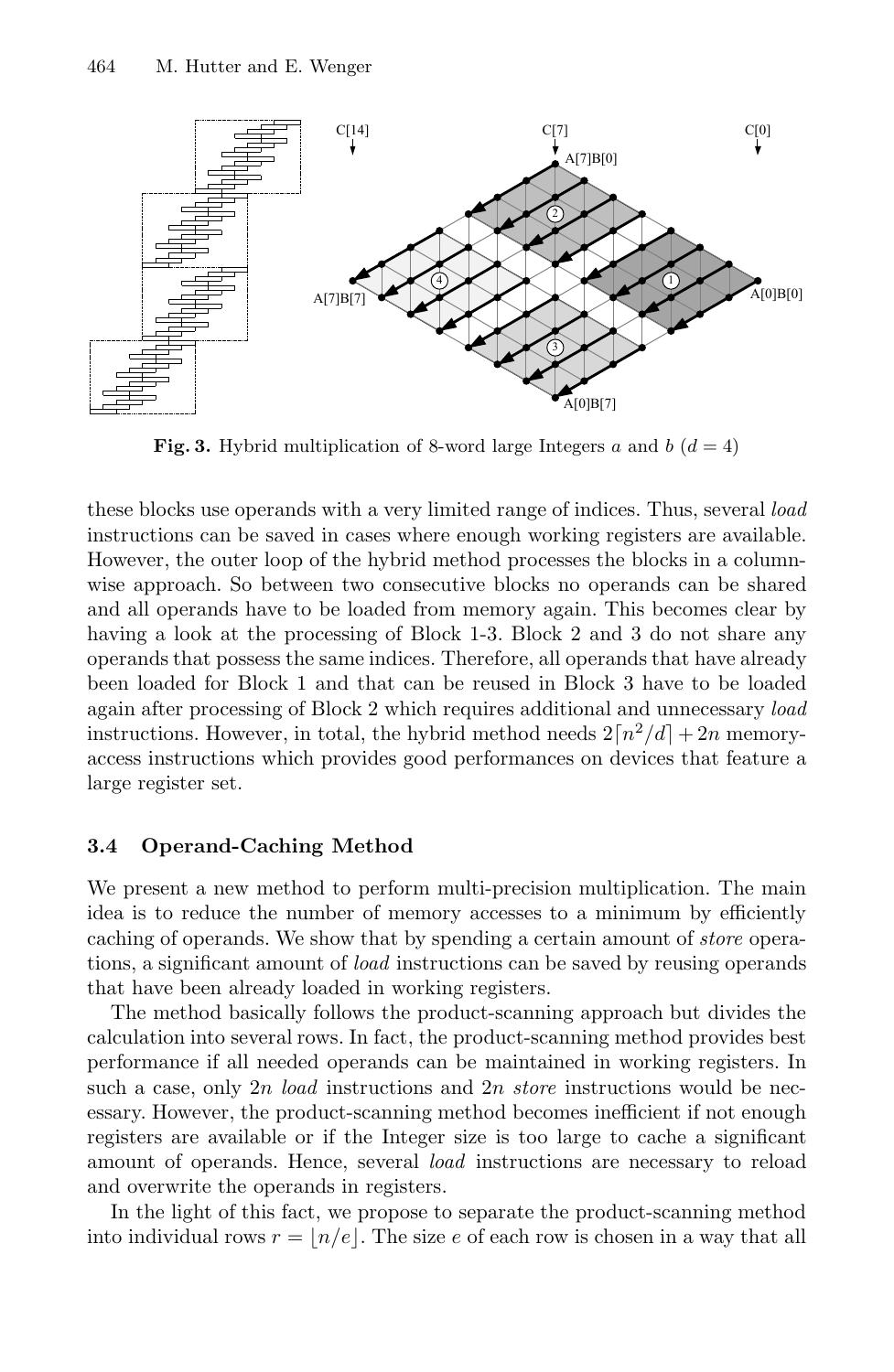<span id="page-5-0"></span>

**Fig. 3.** Hybrid multiplication of 8-word large Integers *a* and *b*  $(d = 4)$ 

these blocks use operands with a very limited range of indices. Thus, several *load* instructions can be saved in cases where enough working registers are available. However, the outer loop of the hybrid method processes the blocks in a columnwise approach. So between two consecutive blocks no operands can be shared and all operands have to be loaded from memory again. This becomes clear by having a look at the processing of Block 1-3. Block 2 and 3 do not share any operands that possess the same indices. Therefore, all operands that have already been loaded for Block 1 and that can be reused in Block 3 have to be loaded again after processing of Block 2 which requires additional and unnecessary *load* instructions. However, in total, the hybrid method needs  $2\lceil n^2/d \rceil + 2n$  memoryaccess instructions which provides good performances on devices that feature a large register set.

#### **3.4 Operand-Caching Method**

We present a new method to perform multi-precision multiplication. The main idea is to reduce the number of memory accesses to a minimum by efficiently caching of operands. We show that by spending a certain amount of *store* operations, a significant amount of *load* instructions can be saved by reusing operands that have been already loaded in working registers.

The method basically follows the product-scanning approach but divides the calculation into several rows. In fact, the product-scanning method provides best performance if all needed operands can be maintained in working registers. In such a case, only 2*n load* instructions and 2*n store* instructions would be necessary. However, the product-scanning method becomes inefficient if not enough registers are available or if the Integer size is too large to cache a significant amount of operands. Hence, several *load* instructions are necessary to reload and overwrite the operands in registers.

In the light of this fact, we propose to separate the product-scanning method into individual rows  $r = |n/e|$ . The size *e* of each row is chosen in a way that all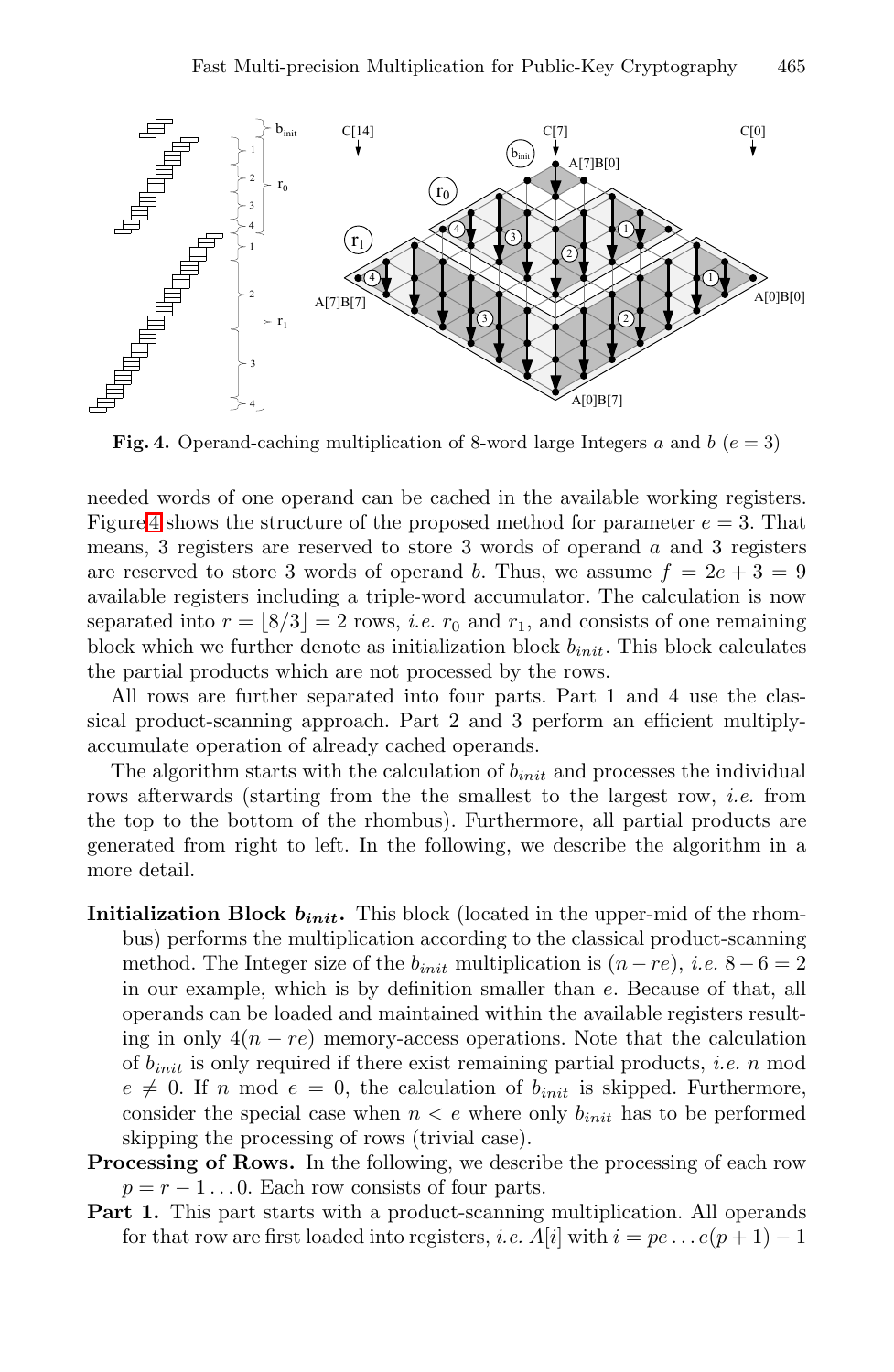<span id="page-6-0"></span>

**Fig. 4.** Operand-caching multiplication of 8-word large Integers  $a$  and  $b$  ( $e = 3$ )

needed words of one operand can be cached in the available working registers. Figure [4](#page-6-0) shows the structure of the proposed method for parameter *e* = 3. That means, 3 registers are reserved to store 3 words of operand *a* and 3 registers are reserved to store 3 words of operand *b*. Thus, we assume  $f = 2e + 3 = 9$ available registers including a triple-word accumulator. The calculation is now separated into  $r = \lfloor 8/3 \rfloor = 2$  rows, *i.e.*  $r_0$  and  $r_1$ , and consists of one remaining block which we further denote as initialization block *binit*. This block calculates the partial products which are not processed by the rows.

All rows are further separated into four parts. Part 1 and 4 use the classical product-scanning approach. Part 2 and 3 perform an efficient multiplyaccumulate operation of already cached operands.

The algorithm starts with the calculation of *binit* and processes the individual rows afterwards (starting from the the smallest to the largest row, *i.e.* from the top to the bottom of the rhombus). Furthermore, all partial products are generated from right to left. In the following, we describe the algorithm in a more detail.

- **Initialization Block** *binit***.** This block (located in the upper-mid of the rhombus) performs the multiplication according to the classical product-scanning method. The Integer size of the  $b_{init}$  multiplication is  $(n - re)$ , *i.e.*  $8 - 6 = 2$ in our example, which is by definition smaller than *e*. Because of that, all operands can be loaded and maintained within the available registers resulting in only  $4(n - re)$  memory-access operations. Note that the calculation of *binit* is only required if there exist remaining partial products, *i.e. n* mod  $e \neq 0$ . If *n* mod  $e = 0$ , the calculation of  $b_{init}$  is skipped. Furthermore, consider the special case when  $n < e$  where only  $b_{init}$  has to be performed skipping the processing of rows (trivial case).
- **Processing of Rows.** In the following, we describe the processing of each row  $p = r - 1 \dots 0$ . Each row consists of four parts.
- Part 1. This part starts with a product-scanning multiplication. All operands for that row are first loaded into registers, *i.e.*  $A[i]$  with  $i = pe \dots e(p+1) - 1$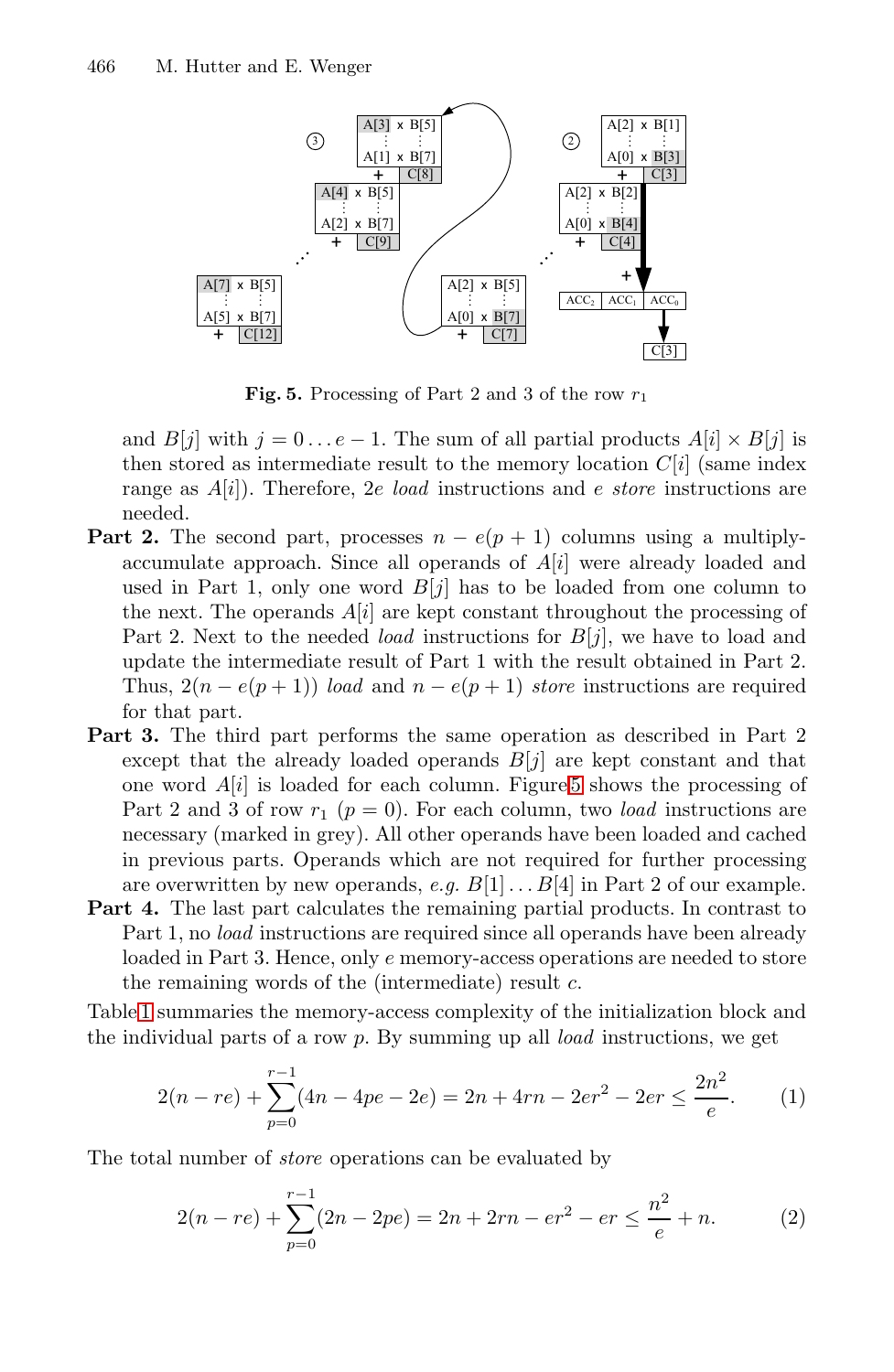<span id="page-7-0"></span>

**Fig. 5.** Processing of Part 2 and 3 of the row *r*<sup>1</sup>

and  $B[j]$  with  $j = 0 \dots e-1$ . The sum of all partial products  $A[i] \times B[j]$  is then stored as intermediate result to the memory location  $C[i]$  (same index range as *A*[*i*]). Therefore, 2*e load* instructions and *e store* instructions are needed.

- **Part 2.** The second part, processes  $n e(p + 1)$  columns using a multiplyaccumulate approach. Since all operands of *A*[*i*] were already loaded and used in Part 1, only one word  $B[j]$  has to be loaded from one column to the next. The operands  $A[i]$  are kept constant throughout the processing of Part 2. Next to the needed *load* instructions for *B*[*j*], we have to load and update the intermediate result of Part 1 with the result obtained in Part 2. Thus,  $2(n - e(p+1))$  *load* and  $n - e(p+1)$  *store* instructions are required for that part.
- **Part 3.** The third part performs the same operation as described in Part 2 except that the already loaded operands  $B[j]$  are kept constant and that one word *A*[*i*] is loaded for each column. Figure [5](#page-7-0) shows the processing of Part 2 and 3 of row  $r_1$  ( $p = 0$ ). For each column, two *load* instructions are necessary (marked in grey). All other operands have been loaded and cached in previous parts. Operands which are not required for further processing are overwritten by new operands, *e.g.*  $B[1] \ldots B[4]$  in Part 2 of our example.
- **Part 4.** The last part calculates the remaining partial products. In contrast to Part 1, no *load* instructions are required since all operands have been already loaded in Part 3. Hence, only *e* memory-access operations are needed to store the remaining words of the (intermediate) result *c*.

Table [1](#page-8-1) summaries the memory-access complexity of the initialization block and the individual parts of a row *p*. By summing up all *load* instructions, we get

$$
2(n-re) + \sum_{p=0}^{r-1} (4n - 4pe - 2e) = 2n + 4rn - 2er^2 - 2er \le \frac{2n^2}{e}.
$$
 (1)

The total number of *store* operations can be evaluated by

$$
2(n-re) + \sum_{p=0}^{r-1} (2n - 2pe) = 2n + 2rn - er^2 - er \le \frac{n^2}{e} + n.
$$
 (2)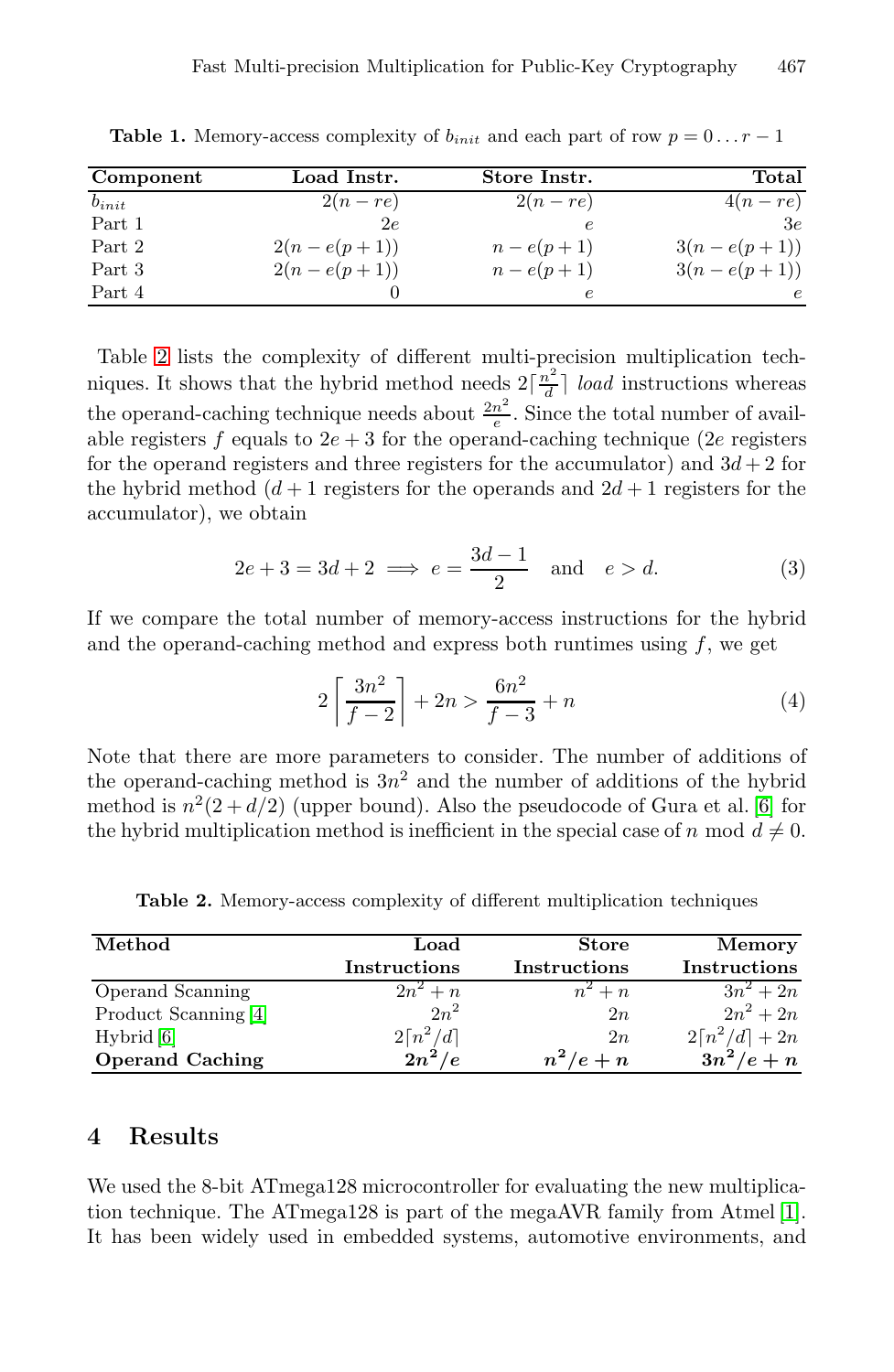| Component  | Load Instr.   | Store Instr. | Total         |
|------------|---------------|--------------|---------------|
| $b_{init}$ | $2(n-re)$     | $2(n-re)$    | $4(n-re)$     |
| Part 1     | 2e            | е            | 3e            |
| Part 2     | $2(n-e(p+1))$ | $n-e(p+1)$   | $3(n-e(p+1))$ |
| Part 3     | $2(n-e(p+1))$ | $n-e(p+1)$   | $3(n-e(p+1))$ |
| Part 4     |               |              | e             |

<span id="page-8-1"></span>**Table 1.** Memory-access complexity of  $b_{init}$  and each part of row  $p = 0 \ldots r - 1$ 

Table [2](#page-8-2) lists the complexity of different multi-precision multiplication techniques. It shows that the hybrid method needs  $2\left[\frac{n^2}{d}\right]$  *load* instructions whereas the operand-caching technique needs about  $\frac{2n^2}{e}$ . Since the total number of available registers  $f$  equals to  $2e + 3$  for the operand-caching technique (2*e* registers for the operand registers and three registers for the accumulator) and  $3d+2$  for the hybrid method  $(d+1)$  registers for the operands and  $2d+1$  registers for the accumulator), we obtain

$$
2e + 3 = 3d + 2 \implies e = \frac{3d - 1}{2} \quad \text{and} \quad e > d. \tag{3}
$$

If we compare the total number of memory-access instructions for the hybrid and the operand-caching method and express both runtimes using *f*, we get

$$
2\left[\frac{3n^2}{f-2}\right] + 2n > \frac{6n^2}{f-3} + n
$$
 (4)

Note that there are more parameters to consider. The number of additions of the operand-caching method is  $3n^2$  and the number of additions of the hybrid method is  $n^2(2+d/2)$  (upper bound). Also the pseudocode of Gura et al. [\[6\]](#page-12-0) for the hybrid multiplication method is inefficient in the special case of *n* mod  $d \neq 0$ .

| Method                 | $_{\rm Load}$         | <b>Store</b> | Memory                      |
|------------------------|-----------------------|--------------|-----------------------------|
|                        | Instructions          | Instructions | <b>Instructions</b>         |
| Operand Scanning       | $2n^2 + n$            | $n^2 + n$    | $3n^2+2n$                   |
| Product Scanning [4]   | $2n^2$                | 2n           | $2n^2 + 2n$                 |
| Hybrid [6]             | $2\lceil n^2/d\rceil$ | 2n           | $2\lceil n^2/d \rceil + 2n$ |
| <b>Operand Caching</b> | $2n^2/e$              | $n^2/e+n$    | $3n^2/e+n$                  |

<span id="page-8-2"></span>**Table 2.** Memory-access complexity of different multiplication techniques

#### <span id="page-8-0"></span>**4 Results**

We used the 8-bit ATmega128 microcontroller for evaluating the new multiplication technique. The ATmega128 is part of the megaAVR family from Atmel [\[1\]](#page-12-3). It has been widely used in embedded systems, automotive environments, and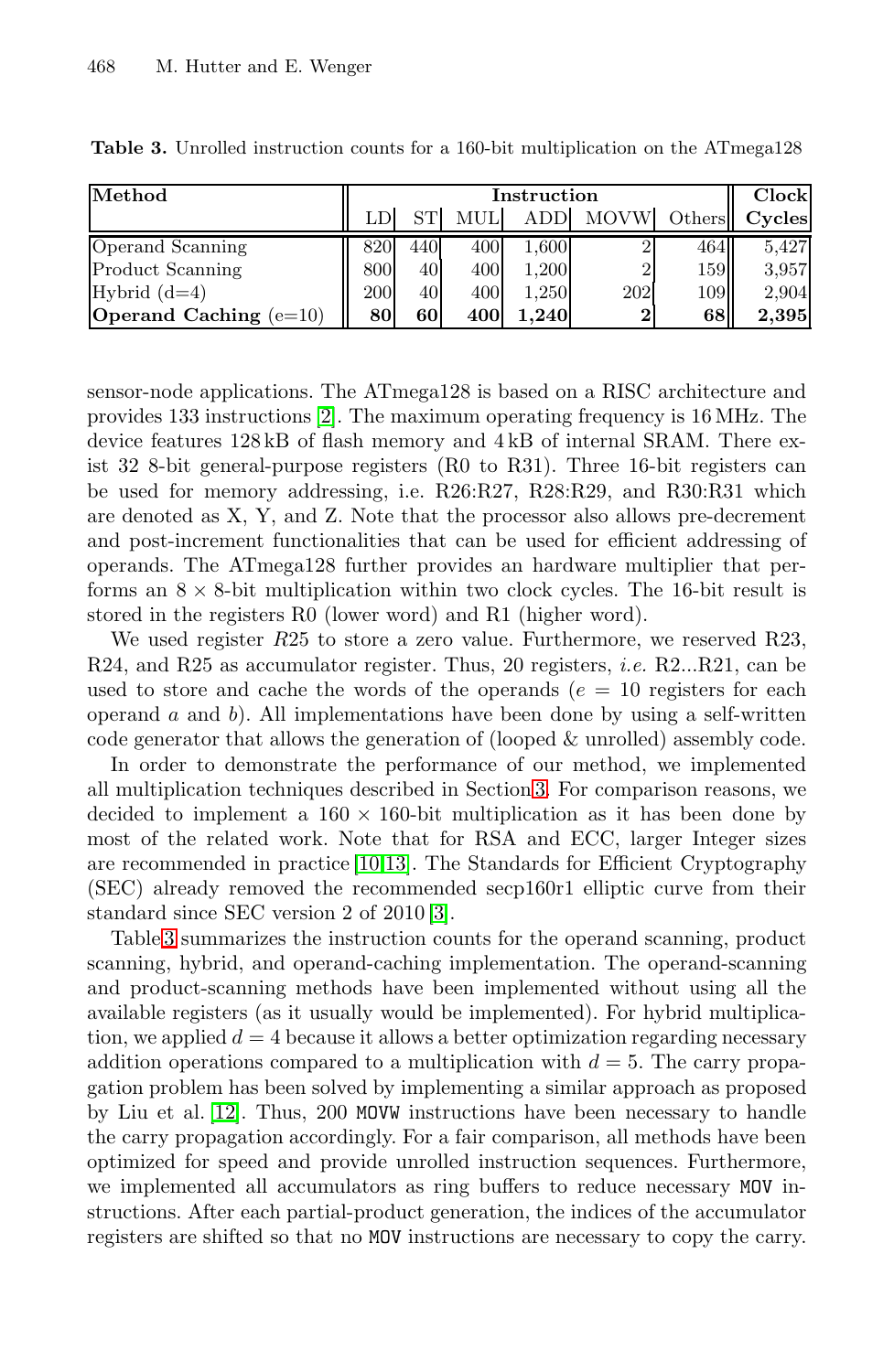| Method                          | Instruction |     |      |            |             | Clock               |        |
|---------------------------------|-------------|-----|------|------------|-------------|---------------------|--------|
|                                 |             | SТ  | MULI | <b>ADD</b> | <b>MOVW</b> | Others <sup>1</sup> | Cycles |
| Operand Scanning                | 820         | 440 | 400  | 1.600      |             | 464                 | 5.427  |
| <b>Product Scanning</b>         | 800         | 40  | 400  | 1.200      |             | 159                 | 3,957  |
| Hybrid $(d=4)$                  | 200         | 40  | 400  | 1.250      | 202         | 109                 | 2,904  |
| <b>Operand Caching</b> $(e=10)$ | 80          | 60  | 400  | 1.240      | $\bf{2}$    | 68                  | 2.395  |

<span id="page-9-0"></span>**Table 3.** Unrolled instruction counts for a 160-bit multiplication on the ATmega128

sensor-node applications. The ATmega128 is based on a RISC architecture and provides 133 instructions [\[2\]](#page-12-5). The maximum operating frequency is 16 MHz. The device features 128 kB of flash memory and 4 kB of internal SRAM. There exist 32 8-bit general-purpose registers (R0 to R31). Three 16-bit registers can be used for memory addressing, i.e. R26:R27, R28:R29, and R30:R31 which are denoted as X, Y, and Z. Note that the processor also allows pre-decrement and post-increment functionalities that can be used for efficient addressing of operands. The ATmega128 further provides an hardware multiplier that performs an  $8 \times 8$ -bit multiplication within two clock cycles. The 16-bit result is stored in the registers R0 (lower word) and R1 (higher word).

We used register *R*25 to store a zero value. Furthermore, we reserved R23, R24, and R25 as accumulator register. Thus, 20 registers, *i.e.* R2...R21, can be used to store and cache the words of the operands  $(e = 10$  registers for each operand *a* and *b*). All implementations have been done by using a self-written code generator that allows the generation of (looped & unrolled) assembly code.

In order to demonstrate the performance of our method, we implemented all multiplication techniques described in Section [3.](#page-2-0) For comparison reasons, we decided to implement a  $160 \times 160$ -bit multiplication as it has been done by most of the related work. Note that for RSA and ECC, larger Integer sizes are recommended in practice [\[10](#page-13-8)[,13\]](#page-13-9). The Standards for Efficient Cryptography (SEC) already removed the recommended secp160r1 elliptic curve from their standard since SEC version 2 of 2010 [\[3\]](#page-12-6).

Table [3](#page-9-0) summarizes the instruction counts for the operand scanning, product scanning, hybrid, and operand-caching implementation. The operand-scanning and product-scanning methods have been implemented without using all the available registers (as it usually would be implemented). For hybrid multiplication, we applied  $d = 4$  because it allows a better optimization regarding necessary addition operations compared to a multiplication with  $d = 5$ . The carry propagation problem has been solved by implementing a similar approach as proposed by Liu et al. [\[12\]](#page-13-0). Thus, 200 MOVW instructions have been necessary to handle the carry propagation accordingly. For a fair comparison, all methods have been optimized for speed and provide unrolled instruction sequences. Furthermore, we implemented all accumulators as ring buffers to reduce necessary MOV instructions. After each partial-product generation, the indices of the accumulator registers are shifted so that no MOV instructions are necessary to copy the carry.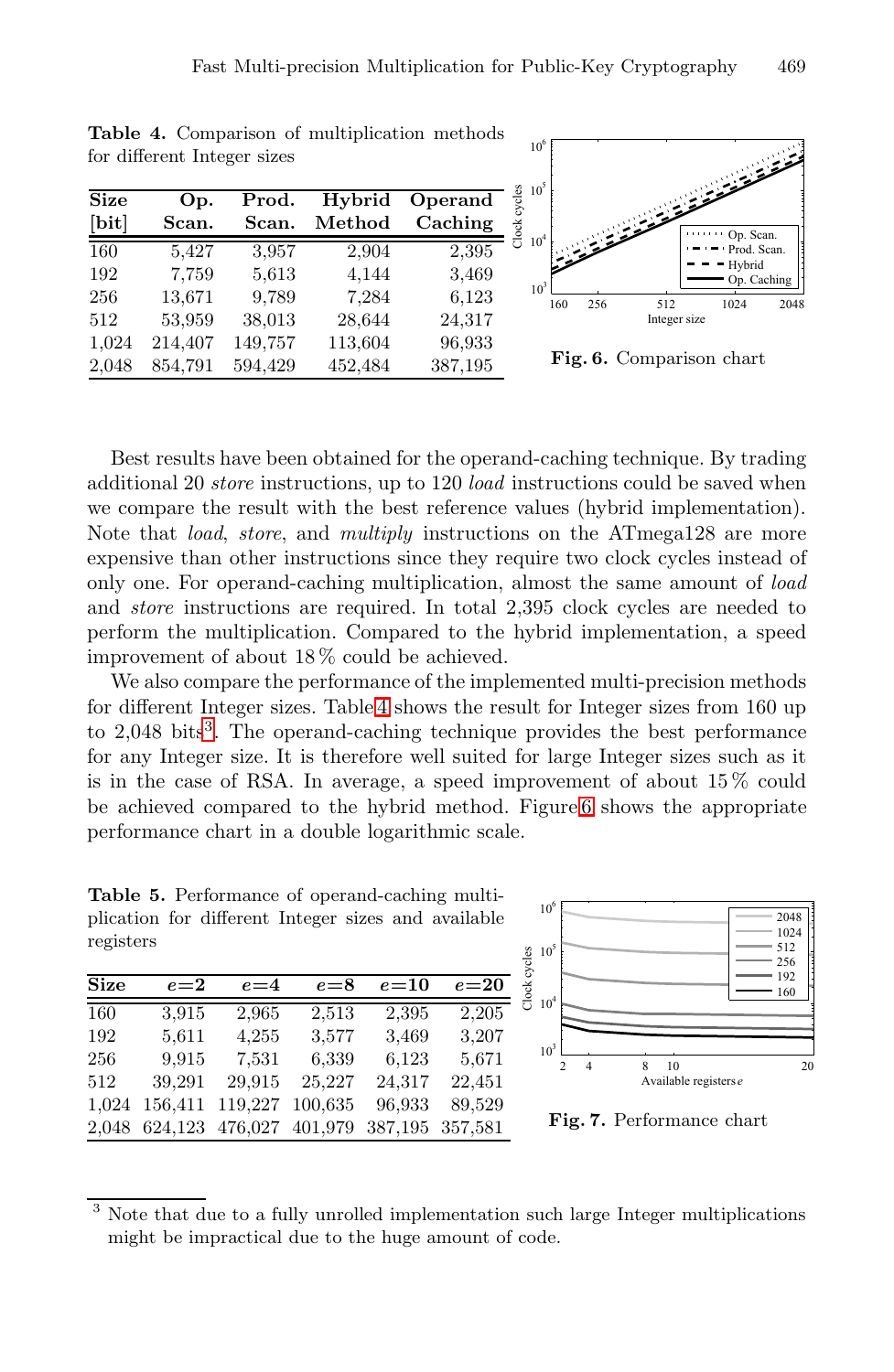| <b>Size</b><br>[bit] | Op.<br>Scan. | Prod.<br>Scan. | Hybrid<br>Method | Operand<br>Caching |
|----------------------|--------------|----------------|------------------|--------------------|
| 160                  | 5,427        | 3,957          | 2,904            | 2,395              |
| 192                  | 7,759        | 5,613          | 4,144            | 3,469              |
| 256                  | 13,671       | 9,789          | 7,284            | 6,123              |
| 512                  | 53,959       | 38,013         | 28,644           | 24,317             |
| 1,024                | 214,407      | 149,757        | 113,604          | 96,933             |
| 2,048                | 854,791      | 594,429        | 452,484          | 387,195            |

<span id="page-10-0"></span>**Table 4.** Comparison of multiplication methods

for different Integer sizes



**Fig. 6.** Comparison chart

Best results have been obtained for the operand-caching technique. By trading additional 20 *store* instructions, up to 120 *load* instructions could be saved when we compare the result with the best reference values (hybrid implementation). Note that *load*, *store*, and *multiply* instructions on the ATmega128 are more expensive than other instructions since they require two clock cycles instead of only one. For operand-caching multiplication, almost the same amount of *load* and *store* instructions are required. In total 2,395 clock cycles are needed to perform the multiplication. Compared to the hybrid implementation, a speed improvement of about 18 % could be achieved.

We also compare the performance of the implemented multi-precision methods for different Integer sizes. Table [4](#page-10-0) shows the result for Integer sizes from 160 up to  $2,048$  bits<sup>[3](#page-10-1)</sup>. The operand-caching technique provides the best performance for any Integer size. It is therefore well suited for large Integer sizes such as it is in the case of RSA. In average, a speed improvement of about 15 % could be achieved compared to the hybrid method. Figure [6](#page-10-0) shows the appropriate performance chart in a double logarithmic scale.

<span id="page-10-2"></span>**Table 5.** Performance of operand-caching multiplication for different Integer sizes and available registers

| <b>Size</b> | $e = 2$ | $e = 4$ | $e = 8$ | $e = 10$ | $e = 20$ |
|-------------|---------|---------|---------|----------|----------|
| 160         | 3,915   | 2,965   | 2,513   | 2,395    | 2,205    |
| 192         | 5,611   | 4,255   | 3,577   | 3,469    | 3.207    |
| 256         | 9.915   | 7,531   | 6,339   | 6,123    | 5,671    |
| 512         | 39,291  | 29.915  | 25,227  | 24,317   | 22,451   |
| 1,024       | 156,411 | 119,227 | 100,635 | 96,933   | 89,529   |
| 2,048       | 624,123 | 476,027 | 401,979 | 387,195  | 357,581  |



**Fig. 7.** Performance chart

<span id="page-10-1"></span><sup>&</sup>lt;sup>3</sup> Note that due to a fully unrolled implementation such large Integer multiplications might be impractical due to the huge amount of code.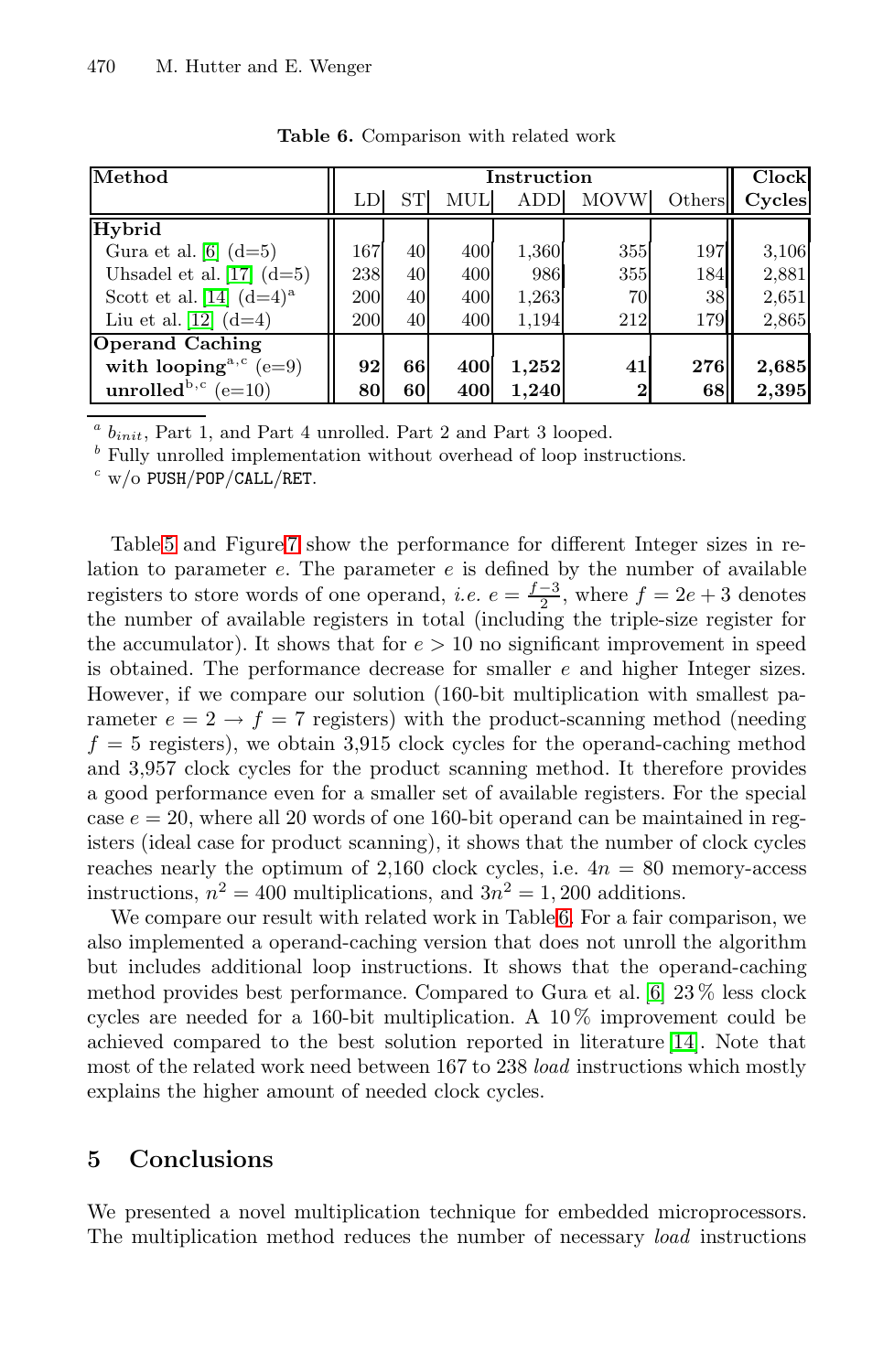<span id="page-11-1"></span>

| Method                              | Instruction |           |     |       |                | Clock  |        |
|-------------------------------------|-------------|-----------|-----|-------|----------------|--------|--------|
|                                     | LD          | <b>ST</b> | MUL | ADD   | <b>MOVW</b>    | Others | Cycles |
| Hybrid                              |             |           |     |       |                |        |        |
| Gura et al. $[6]$ $(d=5)$           | 167         | 40        | 400 | 1,360 | 355            | 197    | 3,106  |
| Uhsadel et al. $[17]$ $(d=5)$       | 238         | 40        | 400 | 986   | 355            | 184    | 2,881  |
| Scott et al. [14] $(d=4)^a$         | 200         | 40        | 400 | 1,263 | 70             | 38     | 2,651  |
| Liu et al. [12] $(d=4)$             | 200         | 40        | 400 | 1.194 | 212            | 179    | 2,865  |
| <b>Operand Caching</b>              |             |           |     |       |                |        |        |
| with looping <sup>a,c</sup> $(e=9)$ | 92          | 66        | 400 | 1,252 | 41             | 276    | 2,685  |
| unrolled <sup>b,c</sup> (e=10)      | 80          | 60        | 400 | 1.240 | $\overline{2}$ | 68     | 2,395  |

**Table 6.** Comparison with related work

 $a$   $b_{init}$ , Part 1, and Part 4 unrolled. Part 2 and Part 3 looped.

*<sup>b</sup>* Fully unrolled implementation without overhead of loop instructions.

*<sup>c</sup>* w/o PUSH/POP/CALL/RET.

Table [5](#page-10-2) and Figure [7](#page-10-2) show the performance for different Integer sizes in relation to parameter *e*. The parameter *e* is defined by the number of available registers to store words of one operand, *i.e.*  $e = \frac{f-3}{2}$ , where  $f = 2e + 3$  denotes the number of available registers in total (including the triple-size register for the accumulator). It shows that for  $e > 10$  no significant improvement in speed is obtained. The performance decrease for smaller *e* and higher Integer sizes. However, if we compare our solution (160-bit multiplication with smallest parameter  $e = 2 \rightarrow f = 7$  registers) with the product-scanning method (needing  $f = 5$  registers), we obtain 3,915 clock cycles for the operand-caching method and 3,957 clock cycles for the product scanning method. It therefore provides a good performance even for a smaller set of available registers. For the special case *e* = 20, where all 20 words of one 160-bit operand can be maintained in registers (ideal case for product scanning), it shows that the number of clock cycles reaches nearly the optimum of 2,160 clock cycles, i.e.  $4n = 80$  memory-access instructions,  $n^2 = 400$  multiplications, and  $3n^2 = 1,200$  additions.

We compare our result with related work in Table [6.](#page-11-1) For a fair comparison, we also implemented a operand-caching version that does not unroll the algorithm but includes additional loop instructions. It shows that the operand-caching method provides best performance. Compared to Gura et al. [\[6\]](#page-12-0) 23 % less clock cycles are needed for a 160-bit multiplication. A  $10\%$  improvement could be achieved compared to the best solution reported in literature [\[14\]](#page-13-1). Note that most of the related work need between 167 to 238 *load* instructions which mostly explains the higher amount of needed clock cycles.

#### <span id="page-11-0"></span>**5 Conclusions**

We presented a novel multiplication technique for embedded microprocessors. The multiplication method reduces the number of necessary *load* instructions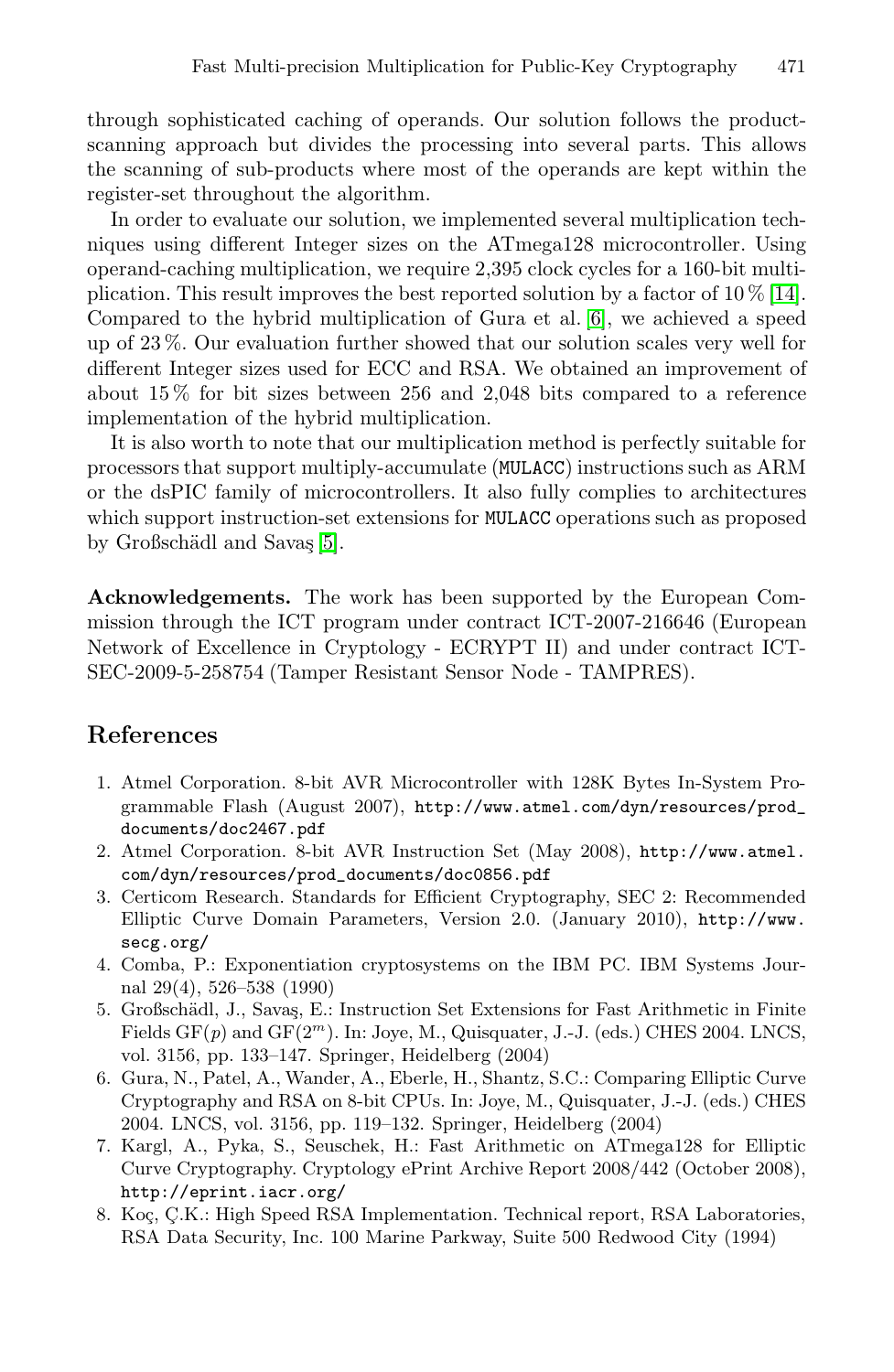through sophisticated caching of operands. Our solution follows the productscanning approach but divides the processing into several parts. This allows the scanning of sub-products where most of the operands are kept within the register-set throughout the algorithm.

In order to evaluate our solution, we implemented several multiplication techniques using different Integer sizes on the ATmega128 microcontroller. Using operand-caching multiplication, we require 2,395 clock cycles for a 160-bit multiplication. This result improves the best reported solution by a factor of  $10\%$  [\[14\]](#page-13-1). Compared to the hybrid multiplication of Gura et al. [\[6\]](#page-12-0), we achieved a speed up of 23 %. Our evaluation further showed that our solution scales very well for different Integer sizes used for ECC and RSA. We obtained an improvement of about 15 % for bit sizes between 256 and 2,048 bits compared to a reference implementation of the hybrid multiplication.

It is also worth to note that our multiplication method is perfectly suitable for processors that support multiply-accumulate (MULACC) instructions such as ARM or the dsPIC family of microcontrollers. It also fully complies to architectures which support instruction-set extensions for MULACC operations such as proposed by Großschädl and Savas [\[5\]](#page-12-7).

**Acknowledgements.** The work has been supported by the European Commission through the ICT program under contract ICT-2007-216646 (European Network of Excellence in Cryptology - ECRYPT II) and under contract ICT-SEC-2009-5-258754 (Tamper Resistant Sensor Node - TAMPRES).

## **References**

- <span id="page-12-3"></span>1. Atmel Corporation. 8-bit AVR Microcontroller with 128K Bytes In-System Programmable Flash (August 2007), [http://www.atmel.com/dyn/resources/prod\\_](http://www.atmel.com/dyn/resources/prod_documents/doc2467.pdf) [documents/doc2467.pdf](http://www.atmel.com/dyn/resources/prod_documents/doc2467.pdf)
- <span id="page-12-5"></span>2. Atmel Corporation. 8-bit AVR Instruction Set (May 2008), [http://www.atmel.](http://www.atmel.com/dyn/resources/prod_documents/doc0856.pdf) [com/dyn/resources/prod\\_documents/doc0856.pdf](http://www.atmel.com/dyn/resources/prod_documents/doc0856.pdf)
- <span id="page-12-6"></span>3. Certicom Research. Standards for Efficient Cryptography, SEC 2: Recommended Elliptic Curve Domain Parameters, Version 2.0. (January 2010), [http://www.](http://www.secg.org/) [secg.org/](http://www.secg.org/)
- <span id="page-12-1"></span>4. Comba, P.: Exponentiation cryptosystems on the IBM PC. IBM Systems Journal 29(4), 526–538 (1990)
- <span id="page-12-7"></span>5. Großschädl, J., Savaş, E.: Instruction Set Extensions for Fast Arithmetic in Finite Fields GF(*p*) and GF(2*<sup>m</sup>*). In: Joye, M., Quisquater, J.-J. (eds.) CHES 2004. LNCS, vol. 3156, pp. 133–147. Springer, Heidelberg (2004)
- <span id="page-12-0"></span>6. Gura, N., Patel, A., Wander, A., Eberle, H., Shantz, S.C.: Comparing Elliptic Curve Cryptography and RSA on 8-bit CPUs. In: Joye, M., Quisquater, J.-J. (eds.) CHES 2004. LNCS, vol. 3156, pp. 119–132. Springer, Heidelberg (2004)
- <span id="page-12-2"></span>7. Kargl, A., Pyka, S., Seuschek, H.: Fast Arithmetic on ATmega128 for Elliptic Curve Cryptography. Cryptology ePrint Archive Report 2008/442 (October 2008), <http://eprint.iacr.org/>
- <span id="page-12-4"></span>8. Koç, Ç.K.: High Speed RSA Implementation. Technical report, RSA Laboratories, RSA Data Security, Inc. 100 Marine Parkway, Suite 500 Redwood City (1994)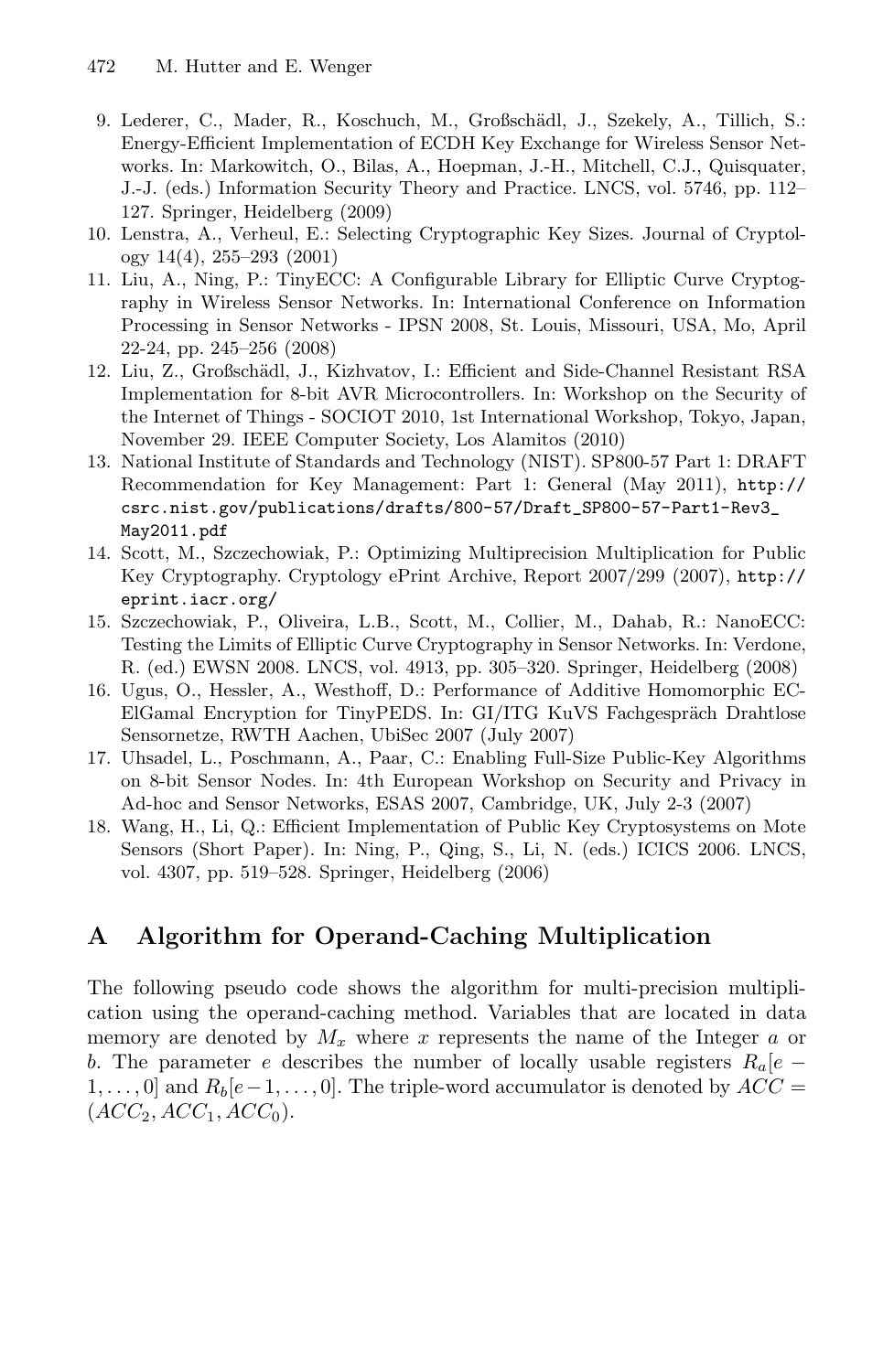- <span id="page-13-7"></span>9. Lederer, C., Mader, R., Koschuch, M., Großschädl, J., Szekely, A., Tillich, S.: Energy-Efficient Implementation of ECDH Key Exchange for Wireless Sensor Networks. In: Markowitch, O., Bilas, A., Hoepman, J.-H., Mitchell, C.J., Quisquater, J.-J. (eds.) Information Security Theory and Practice. LNCS, vol. 5746, pp. 112– 127. Springer, Heidelberg (2009)
- <span id="page-13-8"></span>10. Lenstra, A., Verheul, E.: Selecting Cryptographic Key Sizes. Journal of Cryptology 14(4), 255–293 (2001)
- <span id="page-13-6"></span>11. Liu, A., Ning, P.: TinyECC: A Configurable Library for Elliptic Curve Cryptography in Wireless Sensor Networks. In: International Conference on Information Processing in Sensor Networks - IPSN 2008, St. Louis, Missouri, USA, Mo, April 22-24, pp. 245–256 (2008)
- <span id="page-13-0"></span>12. Liu, Z., Großschädl, J., Kizhvatov, I.: Efficient and Side-Channel Resistant RSA Implementation for 8-bit AVR Microcontrollers. In: Workshop on the Security of the Internet of Things - SOCIOT 2010, 1st International Workshop, Tokyo, Japan, November 29. IEEE Computer Society, Los Alamitos (2010)
- <span id="page-13-9"></span>13. National Institute of Standards and Technology (NIST). SP800-57 Part 1: DRAFT Recommendation for Key Management: Part 1: General (May 2011), [http://](http://csrc.nist.gov/publications/drafts/800-57/Draft_SP800-57-Part1-Rev3_May2011.pdf) [csrc.nist.gov/publications/drafts/800-57/Draft\\_SP800-57-Part1-Rev3\\_](http://csrc.nist.gov/publications/drafts/800-57/Draft_SP800-57-Part1-Rev3_May2011.pdf) [May2011.pdf](http://csrc.nist.gov/publications/drafts/800-57/Draft_SP800-57-Part1-Rev3_May2011.pdf)
- <span id="page-13-1"></span>14. Scott, M., Szczechowiak, P.: Optimizing Multiprecision Multiplication for Public Key Cryptography. Cryptology ePrint Archive, Report 2007/299 (2007), [http://](http://eprint.iacr.org/) [eprint.iacr.org/](http://eprint.iacr.org/)
- <span id="page-13-2"></span>15. Szczechowiak, P., Oliveira, L.B., Scott, M., Collier, M., Dahab, R.: NanoECC: Testing the Limits of Elliptic Curve Cryptography in Sensor Networks. In: Verdone, R. (ed.) EWSN 2008. LNCS, vol. 4913, pp. 305–320. Springer, Heidelberg (2008)
- <span id="page-13-5"></span>16. Ugus, O., Hessler, A., Westhoff, D.: Performance of Additive Homomorphic EC-ElGamal Encryption for TinyPEDS. In: GI/ITG KuVS Fachgespräch Drahtlose Sensornetze, RWTH Aachen, UbiSec 2007 (July 2007)
- <span id="page-13-3"></span>17. Uhsadel, L., Poschmann, A., Paar, C.: Enabling Full-Size Public-Key Algorithms on 8-bit Sensor Nodes. In: 4th European Workshop on Security and Privacy in Ad-hoc and Sensor Networks, ESAS 2007, Cambridge, UK, July 2-3 (2007)
- <span id="page-13-4"></span>18. Wang, H., Li, Q.: Efficient Implementation of Public Key Cryptosystems on Mote Sensors (Short Paper). In: Ning, P., Qing, S., Li, N. (eds.) ICICS 2006. LNCS, vol. 4307, pp. 519–528. Springer, Heidelberg (2006)

# **A Algorithm for Operand-Caching Multiplication**

The following pseudo code shows the algorithm for multi-precision multiplication using the operand-caching method. Variables that are located in data memory are denoted by *M<sup>x</sup>* where *x* represents the name of the Integer *a* or *b*. The parameter *e* describes the number of locally usable registers  $R_a[e -]$  $1, \ldots, 0$  and  $R_b$  $\mid e-1, \ldots, 0$ . The triple-word accumulator is denoted by  $ACC =$  $(ACC_2, ACC_1, ACC_0).$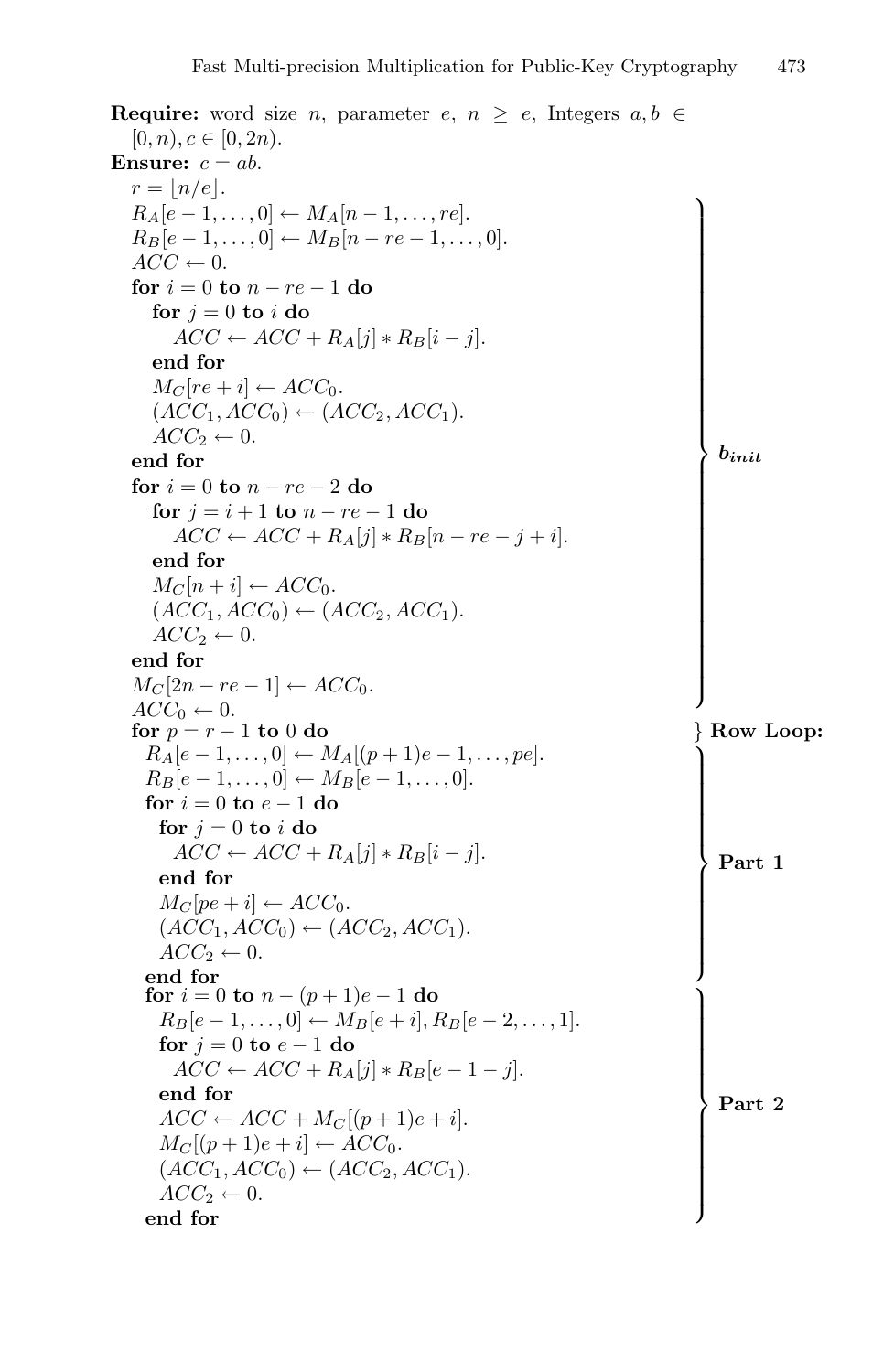```
Require: word size n, parameter e, n \ge e, Integers a, b \in[0, n), c \in [0, 2n).Ensure: c = ab.
   r = \lfloor n/e \rfloor.
   R_A[e-1, \ldots, 0] \leftarrow M_A[n-1, \ldots, re].R_B[e-1, \ldots, 0] \leftarrow M_B[n-re-1, \ldots, 0].\overline{ACC} \leftarrow 0.for i = 0 to n - re - 1 do
       for j = 0 to i do
          \overline{ACC} \leftarrow \overline{ACC} + R_A[j] * R_B[i-j].\begin{aligned} \textbf{end for} \ M_C[re+i] &\leftarrow ACC_0. \end{aligned}(ACC_1, ACC_0) \leftarrow (ACC_2, ACC_1).\angle ACC_2 \leftarrow 0.end for
   for i = 0 to n - re - 2 do
       for j = i + 1 to n - re - 1 do
          \overline{ACC} \leftarrow \overline{ACC} + R_A[j] * R_B[n-re-j+i].M_C[n+i] \leftarrow ACC_0.(ACC_1, ACC_0) \leftarrow (ACC_2, ACC_1).\angle ACC_2 \leftarrow 0.M_C[2n-re-1] \leftarrow ACC_0.\dot{ACC_0} \leftarrow 0.⎫⎪⎪⎪⎪⎪⎪⎪⎪⎪⎪⎪⎪⎪⎪⎪⎪⎪⎪⎪⎪⎪⎪⎪⎪⎪⎪⎪⎪⎪⎪⎪⎪⎪⎪⎪⎬⎪⎪⎪⎪⎪⎪⎪⎪⎪⎪⎪⎪⎪⎪⎪⎪⎪⎪⎪⎪⎪⎪⎪⎪⎪⎪⎪⎪⎪⎪⎪⎪⎪⎪⎪⎭
                                                                                                       binit
   for p = r - 1to 0 do
                                                                                                   } Row Loop:
     R_A[e-1, \ldots, 0] \leftarrow M_A[(p+1)e-1, \ldots, pe].R_B[e-1, \ldots, 0] \leftarrow M_B[e-1, \ldots, 0].for
i = 0 to
e
−
1 do
        for j = 0 to i do
          \overline{ACC} \leftarrow \overline{ACC} + R_A[j] * R_B[i-j].\operatorname*{Mc}\left[pe+i\right]\leftarrow ACC_{0}.(ACC_1, ACC_0) \leftarrow (ACC_2, ACC_1).\angle ACC_2 \leftarrow 0.end for
                                                                                                   ⎫⎪⎪⎪⎪⎪⎪⎪⎪⎪⎪⎪⎪⎪⎬⎪⎪⎪⎪⎪⎪⎪⎪⎪⎪⎪⎪⎪⎭
                                                                                                      Part 1
     ffor i = 0 to n - (p + 1)e - 1 do
        R_B[e-1, \ldots, 0] \leftarrow M_B[e+i], R_B[e-2, \ldots, 1].for j = 0 to e - 1do
          \overline{ACC} \leftarrow \overline{ACC} + R_A[j] * R_B[e-1-j].end for
        ACC \leftarrow ACC + M_C[(p+1)e + i].M_C[(p+1)e + i] \leftarrow \text{ACC}_0.(\overrightarrow{ACC}_1, \overrightarrow{ACC}_0) \leftarrow (\overrightarrow{ACC}_2, \overrightarrow{ACC}_1).\angle ACC_2 \leftarrow 0.end for
                                                                                                   ⎫⎪⎪⎪⎪⎪⎪⎪⎪⎪⎪⎪⎪⎪⎬⎪⎪⎪⎪⎪⎪⎪⎪⎪⎪⎪⎪⎪⎭
                                                                                                      Part 2
```